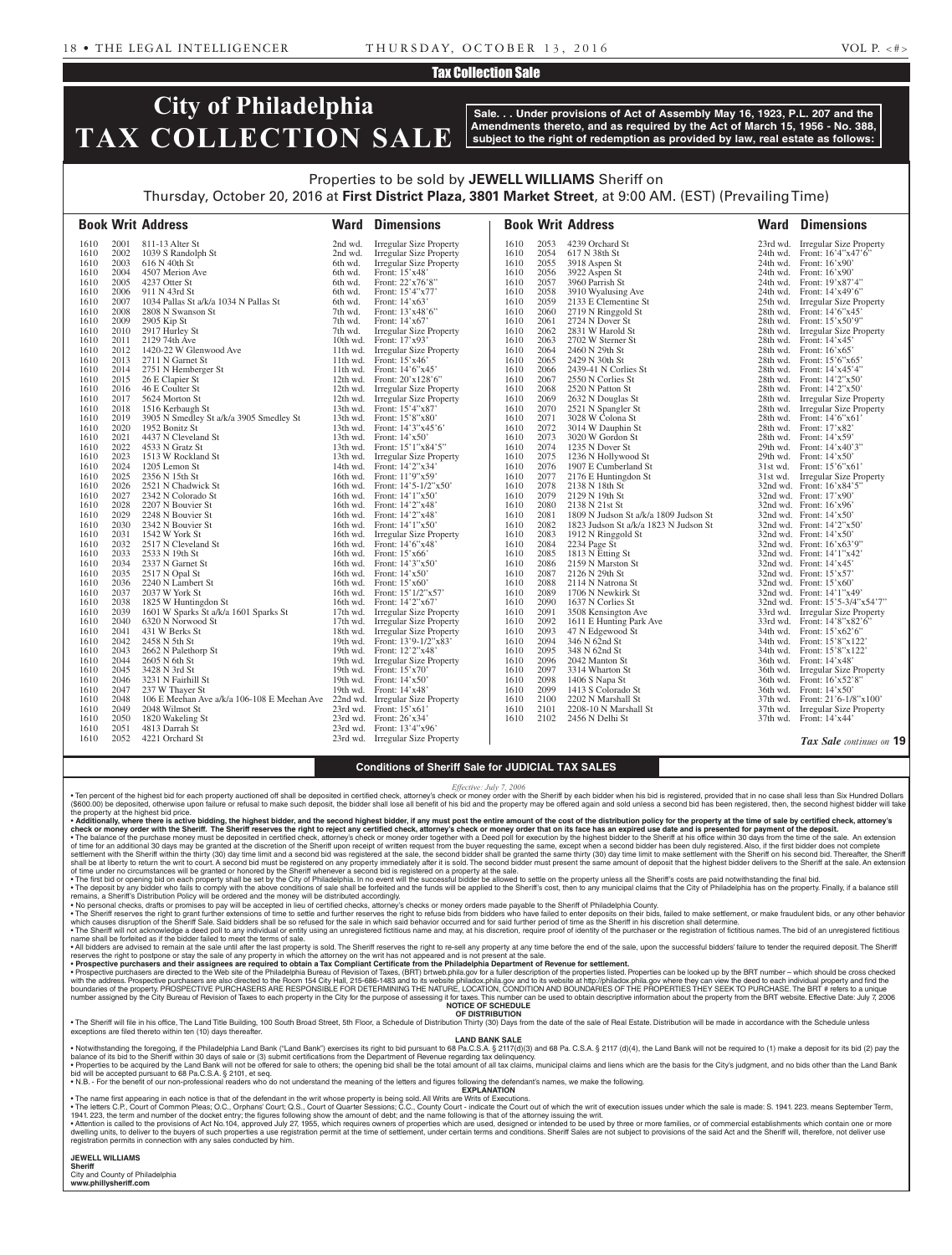## Tax Collection Sale

# **City of Philadelphia TAX COLLECTION SALE**

**Sale. . . Under provisions of Act of Assembly May 16, 1923, P.L. 207 and the Amendments thereto, and as required by the Act of March 15, 1956 - No. 388, subject to the right of redemption as provided by law, real estate as follows:**

## Properties to be sold by **JEWELL WILLIAMS** Sheriff on Thursday, October 20, 2016 at **First District Plaza, 3801 Market Street**, at 9:00 AM. (EST) (Prevailing Time)

| 2001<br><b>Irregular Size Property</b><br>2053<br>4239 Orchard St<br>23rd wd. Irregular Size Property<br>1610<br>811-13 Alter St<br>2nd wd.<br>1610<br>2054<br>24th wd. Front: 16'4"x47'6"<br>2002<br>1039 S Randolph St<br>2nd wd.<br>Irregular Size Property<br>1610<br>617 N 38th St<br>1610<br>2003<br><b>Irregular Size Property</b><br>2055<br>3918 Aspen St<br>24th wd. Front: 16'x90'<br>1610<br>616 N 40th St<br>6th wd.<br>1610<br>2004<br>4507 Merion Ave<br>Front: 15'x48'<br>1610<br>2056<br>3922 Aspen St<br>24th wd. Front: 16'x90'<br>1610<br>6th wd.<br>2005<br>Front: 22'x76'8"<br>2057<br>4237 Otter St<br>6th wd.<br>1610<br>3960 Parrish St<br>24th wd. Front: 19'x87'4"<br>1610<br>2058<br>1610<br>2006<br>911 N 43rd St<br>Front: 15'4"x77'<br>3910 Wyalusing Ave<br>24th wd. Front: 14'x49'6"<br>6th wd.<br>1610<br>2133 E Clementine St<br>2007<br>1034 Pallas St a/k/a 1034 N Pallas St<br>Front: 14'x63'<br>2059<br>1610<br>6th wd.<br>1610<br>25th wd. Irregular Size Property<br>2008<br>7th wd.<br>2060<br>28th wd. Front: 14'6"x45"<br>1610<br>2808 N Swanson St<br>Front: $13'x48'6''$<br>1610<br>2719 N Ringgold St<br>2009<br>2061<br>28th wd. Front: 15'x50'9"<br>1610<br>2905 Kip St<br>7th wd.<br>Front: $14'x67'$<br>1610<br>2724 N Dover St<br>2917 Hurley St<br>2062<br>2831 W Harold St<br>2010<br>7th wd.<br>Irregular Size Property<br>1610<br>28th wd. Irregular Size Property<br>1610<br>2129 74th Ave<br>10th wd. Front: $17'x93'$<br>2063<br>2702 W Sterner St<br>28th wd. Front: 14'x45'<br>1610<br>2011<br>1610<br>2012<br>2064<br>1420-22 W Glenwood Ave<br>11th wd. Irregular Size Property<br>1610<br>28th wd. Front: 16'x65'<br>1610<br>2460 N 29th St<br>1610<br>2013<br>2711 N Garnet St<br>11th wd. Front: $15'x46'$<br>1610<br>2065<br>2429 N 30th St<br>28th wd. Front: 15'6"x65"<br>11th wd. Front: 14'6"x45"<br>2066<br>1610<br>2014<br>2751 N Hemberger St<br>1610<br>2439-41 N Corlies St<br>28th wd. Front: 14'x45'4"<br>2015<br>2067<br>1610<br>26 E Clapier St<br>12th wd. Front: $20'x128'6''$<br>1610<br>2550 N Corlies St<br>28th wd. Front: 14'2"x50"<br>2016<br>46 E Coulter St<br>1610<br>2068<br>2520 N Patton St<br>28th wd. Front: 14'2"x50"<br>1610<br>12th wd. Irregular Size Property<br>2069<br>1610<br>2017<br>5624 Morton St<br>12th wd. Irregular Size Property<br>1610<br>2632 N Douglas St<br>28th wd. Irregular Size Property<br>13th wd. Front: 15'4"x87'<br>2521 N Spangler St<br>1610<br>2018<br>1516 Kerbaugh St<br>1610<br>2070<br>28th wd. Irregular Size Property<br>2071<br>2019<br>3905 N Smedley St a/k/a 3905 Smedley St<br>13th wd. Front: 15'8"x80"<br>1610<br>3028 W Colona St<br>28th wd. Front: 14'6"x61"<br>1610<br>3014 W Dauphin St<br>1610<br>2020<br>1952 Bonitz St<br>13th wd. Front: 14'3"x45'6'<br>2072<br>28th wd. Front: 17'x82'<br>1610<br>2021<br>4437 N Cleveland St<br>2073<br>3020 W Gordon St<br>28th wd. Front: 14'x59'<br>1610<br>13th wd. Front: $14' \times 50'$<br>1610<br>2074<br>2022<br>4533 N Gratz St<br>13th wd. Front: 15'1"x84'5"<br>1610<br>1235 N Dover St<br>29th wd. Front: 14'x40'3"<br>1610<br>2023<br>1513 W Rockland St<br>2075<br>1610<br>13th wd. Irregular Size Property<br>1610<br>1236 N Hollywood St<br>29th wd. Front: $14' \times 50'$<br>2024<br>2076<br>1610<br>1205 Lemon St<br>14th wd. Front: 14'2"x34'<br>1610<br>1907 E Cumberland St<br>31st wd. Front: 15'6"x61"<br>2025<br>16th wd. Front: 11'9"x59"<br>1610<br>2356 N 15th St<br>1610<br>2077<br>2176 E Huntingdon St<br>31st wd. Irregular Size Property<br>2026<br>2078<br>16th wd. Front: 14'5-1/2"x50"<br>2138 N 18th St<br>32nd wd. Front: 16'x84'5"<br>1610<br>2521 N Chadwick St<br>1610<br>2027<br>2079<br>2342 N Colorado St<br>16th wd. Front: 14'1"x50"<br>1610<br>2129 N 19th St<br>32nd wd. Front: $17'x90'$<br>1610<br>2028<br>2080<br>2207 N Bouvier St<br>16th wd. Front: 14'2"x48"<br>2138 N 21st St<br>1610<br>1610<br>32nd wd. Front: $16'x96'$<br>2029<br>1610<br>2248 N Bouvier St<br>16th wd. Front: 14'2"x48"<br>1610<br>2081<br>1809 N Judson St a/k/a 1809 Judson St<br>32nd wd. Front: $14' \times 50'$<br>2030<br>2342 N Bouvier St<br>2082<br>1610<br>16th wd. Front: 14'1"x50"<br>1610<br>1823 Judson St a/k/a 1823 N Judson St<br>32nd wd. Front: 14'2"x50"<br>1610<br>2031<br>1542 W York St<br>16th wd. Irregular Size Property<br>1610<br>2083<br>1912 N Ringgold St<br>32nd wd. Front: $14' \times 50'$<br>2032<br>2517 N Cleveland St<br>16th wd. Front: 14'6"x48"<br>2084<br>2234 Page St<br>32nd wd. Front: 16'x63'9"<br>1610<br>1610<br>2033<br>2085<br>1813 N Etting St<br>1610<br>2533 N 19th St<br>16th wd. Front: $15^{\circ}x66^{\circ}$<br>1610<br>32nd wd. Front: $14'1''x42'$<br>2034<br>2337 N Garnet St<br>16th wd. Front: 14'3"x50"<br>2086<br>2159 N Marston St<br>1610<br>1610<br>32nd wd. Front: $14'x45'$<br>2087<br>2035<br>2517 N Opal St<br>1610<br>2126 N 29th St<br>1610<br>16th wd. Front: $14' \times 50'$<br>32nd wd. Front: $15'x57'$<br>2036<br>2240 N Lambert St<br>16th wd. Front: $15'x60'$<br>2088<br>32nd wd. Front: 15'x60'<br>1610<br>1610<br>2114 N Natrona St<br>2037<br>2037 W York St<br>2089<br>1610<br>1610<br>1706 N Newkirk St<br>16th wd. Front: $15'1/2''x57'$<br>32nd wd. Front: 14'1"x49"<br>2038<br>1825 W Huntingdon St<br>16th wd. Front: 14'2"x67"<br>2090<br>1637 N Corlies St<br>32nd wd. Front: 15'5-3/4"x54'7"<br>1610<br>1610<br>2039<br>2091<br>1610<br>1601 W Sparks St a/k/a 1601 Sparks St<br>17th wd. Irregular Size Property<br>1610<br>3508 Kensington Ave<br>33rd wd. Irregular Size Property<br>2040<br>2092<br>1610<br>6320 N Norwood St<br>17th wd. Irregular Size Property<br>1610<br>1611 E Hunting Park Ave<br>33rd wd. Front: 14'8"x82'6"<br>2041<br>431 W Berks St<br>18th wd. Irregular Size Property<br>1610<br>2093<br>47 N Edgewood St<br>34th wd. Front: 15'x62'6"<br>1610<br>2094<br>2042<br>19th wd. Front: 13'9-1/2"x83'<br>346 N 62nd St<br>1610<br>2458 N 5th St<br>1610<br>34th wd. Front: 15'8"x122"<br>19th wd. Front: 12'2"x48"<br>34th wd. Front: 15'8"x122" |                              |                              | <b>Book Writ Address</b>                              | <b>Ward Dimensions</b>           |                              |                              | <b>Book Writ Address</b>                                                             | <b>Ward Dimensions</b>          |
|----------------------------------------------------------------------------------------------------------------------------------------------------------------------------------------------------------------------------------------------------------------------------------------------------------------------------------------------------------------------------------------------------------------------------------------------------------------------------------------------------------------------------------------------------------------------------------------------------------------------------------------------------------------------------------------------------------------------------------------------------------------------------------------------------------------------------------------------------------------------------------------------------------------------------------------------------------------------------------------------------------------------------------------------------------------------------------------------------------------------------------------------------------------------------------------------------------------------------------------------------------------------------------------------------------------------------------------------------------------------------------------------------------------------------------------------------------------------------------------------------------------------------------------------------------------------------------------------------------------------------------------------------------------------------------------------------------------------------------------------------------------------------------------------------------------------------------------------------------------------------------------------------------------------------------------------------------------------------------------------------------------------------------------------------------------------------------------------------------------------------------------------------------------------------------------------------------------------------------------------------------------------------------------------------------------------------------------------------------------------------------------------------------------------------------------------------------------------------------------------------------------------------------------------------------------------------------------------------------------------------------------------------------------------------------------------------------------------------------------------------------------------------------------------------------------------------------------------------------------------------------------------------------------------------------------------------------------------------------------------------------------------------------------------------------------------------------------------------------------------------------------------------------------------------------------------------------------------------------------------------------------------------------------------------------------------------------------------------------------------------------------------------------------------------------------------------------------------------------------------------------------------------------------------------------------------------------------------------------------------------------------------------------------------------------------------------------------------------------------------------------------------------------------------------------------------------------------------------------------------------------------------------------------------------------------------------------------------------------------------------------------------------------------------------------------------------------------------------------------------------------------------------------------------------------------------------------------------------------------------------------------------------------------------------------------------------------------------------------------------------------------------------------------------------------------------------------------------------------------------------------------------------------------------------------------------------------------------------------------------------------------------------------------------------------------------------------------------------------------------------------------------------------------------------------------------------------------------------------------------------------------------------------------------------------------------------------------------------------------------------------------------------------------------------------------------------------------------------------------------------------------------------------------------------------------------------------------------------------------------------------------------------------------------------------------------------------------------------------------------------------------------------------------------------------------------------------------------------------------------------------------------------------------------------------------------------------------------------------------------------------------------------------------------------------------------------------------------------------------------------------------------------------------------------------------------------------------------------------------------------------------------------------------------------------------------------------------------------------------------------------------------------------------------------------------------------------------------------|------------------------------|------------------------------|-------------------------------------------------------|----------------------------------|------------------------------|------------------------------|--------------------------------------------------------------------------------------|---------------------------------|
| 2044<br>2096<br>2605 N 6th St<br>19th wd. Irregular Size Property<br>1610<br>2042 Manton St<br>36th wd. Front: 14'x48'<br>1610<br>1610<br>2045<br>3428 N 3rd St<br>19th wd. Front: $15'x70'$<br>2097<br>3314 Wharton St<br>36th wd. Irregular Size Property<br>1610                                                                                                                                                                                                                                                                                                                                                                                                                                                                                                                                                                                                                                                                                                                                                                                                                                                                                                                                                                                                                                                                                                                                                                                                                                                                                                                                                                                                                                                                                                                                                                                                                                                                                                                                                                                                                                                                                                                                                                                                                                                                                                                                                                                                                                                                                                                                                                                                                                                                                                                                                                                                                                                                                                                                                                                                                                                                                                                                                                                                                                                                                                                                                                                                                                                                                                                                                                                                                                                                                                                                                                                                                                                                                                                                                                                                                                                                                                                                                                                                                                                                                                                                                                                                                                                                                                                                                                                                                                                                                                                                                                                                                                                                                                                                                                                                                                                                                                                                                                                                                                                                                                                                                                                                                                                                                                                                                                                                                                                                                                                                                                                                                                                                                                                                                                                                                                | 1610                         | 2043                         | 2662 N Palethorp St                                   |                                  | 1610                         | 2095                         | 348 N 62nd St                                                                        |                                 |
|                                                                                                                                                                                                                                                                                                                                                                                                                                                                                                                                                                                                                                                                                                                                                                                                                                                                                                                                                                                                                                                                                                                                                                                                                                                                                                                                                                                                                                                                                                                                                                                                                                                                                                                                                                                                                                                                                                                                                                                                                                                                                                                                                                                                                                                                                                                                                                                                                                                                                                                                                                                                                                                                                                                                                                                                                                                                                                                                                                                                                                                                                                                                                                                                                                                                                                                                                                                                                                                                                                                                                                                                                                                                                                                                                                                                                                                                                                                                                                                                                                                                                                                                                                                                                                                                                                                                                                                                                                                                                                                                                                                                                                                                                                                                                                                                                                                                                                                                                                                                                                                                                                                                                                                                                                                                                                                                                                                                                                                                                                                                                                                                                                                                                                                                                                                                                                                                                                                                                                                                                                                                                                    |                              |                              |                                                       |                                  |                              |                              |                                                                                      |                                 |
|                                                                                                                                                                                                                                                                                                                                                                                                                                                                                                                                                                                                                                                                                                                                                                                                                                                                                                                                                                                                                                                                                                                                                                                                                                                                                                                                                                                                                                                                                                                                                                                                                                                                                                                                                                                                                                                                                                                                                                                                                                                                                                                                                                                                                                                                                                                                                                                                                                                                                                                                                                                                                                                                                                                                                                                                                                                                                                                                                                                                                                                                                                                                                                                                                                                                                                                                                                                                                                                                                                                                                                                                                                                                                                                                                                                                                                                                                                                                                                                                                                                                                                                                                                                                                                                                                                                                                                                                                                                                                                                                                                                                                                                                                                                                                                                                                                                                                                                                                                                                                                                                                                                                                                                                                                                                                                                                                                                                                                                                                                                                                                                                                                                                                                                                                                                                                                                                                                                                                                                                                                                                                                    | 1610<br>1610<br>1610<br>1610 | 2047<br>2048<br>2049<br>2050 | 237 W Thayer St<br>2048 Wilmot St<br>1820 Wakeling St |                                  | 1610<br>1610<br>1610<br>1610 | 2099<br>2100<br>2101<br>2102 | 1413 S Colorado St<br>2202 N Marshall St<br>2208-10 N Marshall St<br>2456 N Delhi St |                                 |
| 19th wd. Front: $14'x48'$<br>36th wd. Front: 14'x50'<br>106 E Meehan Ave a/k/a 106-108 E Meehan Ave 22nd wd. Irregular Size Property<br>37th wd. Front: 21'6-1/8"x100"<br>23rd wd. Front: 15'x61'<br>37th wd. Irregular Size Property<br>23rd wd. Front: $26'x34'$<br>37th wd. Front: 14'x44'<br>23rd wd. Front: $13'4''x96'$                                                                                                                                                                                                                                                                                                                                                                                                                                                                                                                                                                                                                                                                                                                                                                                                                                                                                                                                                                                                                                                                                                                                                                                                                                                                                                                                                                                                                                                                                                                                                                                                                                                                                                                                                                                                                                                                                                                                                                                                                                                                                                                                                                                                                                                                                                                                                                                                                                                                                                                                                                                                                                                                                                                                                                                                                                                                                                                                                                                                                                                                                                                                                                                                                                                                                                                                                                                                                                                                                                                                                                                                                                                                                                                                                                                                                                                                                                                                                                                                                                                                                                                                                                                                                                                                                                                                                                                                                                                                                                                                                                                                                                                                                                                                                                                                                                                                                                                                                                                                                                                                                                                                                                                                                                                                                                                                                                                                                                                                                                                                                                                                                                                                                                                                                                      | 1610<br>1610                 | 2051<br>2052                 | 4813 Darrah St<br>4221 Orchard St                     | 23rd wd. Irregular Size Property |                              |                              |                                                                                      | <b>Tax Sale</b> continues on 19 |

### **Conditions of Sheriff Sale for JUDICIAL TAX SALES**

*Effective: July* 

. Ten percent of the highest bid for each property auctioned off shall be deposited in certified check, attorney's check or money order with the Sheriff by each bidder when his bid is registered, provided that in no case s (\$600.00) be deposited, otherwise upon failure or refusal to make such deposit, the bidder shall lose all benefit of his bid and the property may be offered again and sold unless a second bid has been registered, then, the

. Additionally, where there is active bidding, the highest bidder, and the second highest bidder, if any must post the entire amount of the cost of the distribution policy for the property at the time of sale by certified check or money order with the Sheriff. The Sheriff reserves the right to reject any certified check, attorney's check or money order that on its face has an expired use date and is presented for payment of the deposit.<br>• T of time for an additional 30 days may be granted at the discretion of the Sheriff upon receipt of written request from the buyer requesting the same, except when a second bidder has been duly registered. Also, if the first

∙ The first bid or opening bid on each property shall be set by the City of Philadelphia. In no event will the successful bidder be allowed to settle on the property unless all the Sheriff's costs are paid notwithstanding

• No personal checks, drafts or promises to pay will be accepted in lieu of certified checks, attorney's checks or money orders made payable to the Sheriff of Philadelphia County.<br>• The Sheriff reserves the right to grant which causes disruption of the Sheriff Sale. Said bidders shall be so refused for the sale in which said behavior occurred and for said further period of time as the Sheriff in his discretion shall determine. • The Sheriff will not acknowledge a deed poll to any individual or entity using an unregistered fictitious name and may, at his discretion, require proof of identity of the purchaser or the registration of fictitious name

• All bidders are advised to remain at the sale until after the last property is sold. The Sheriff reserves the right to re-sell any property at any time before the end of the sale, upon the successful bidders' failure to

with the address. Prospective purchasers are also directed to the Room 154 City Hall, 215-686-1483 and to its website philadox.phila.gov and to its website at http://philadox.phila.gov where they can view the deed to each **NOTICE OF SCHEDULE**

**OF DISTRIBUTION** . The Sheriff will file in his office, The Land Title Building, 100 South Broad Street, 5th Floor, a Schedule of Distribution Thirty (30) Days from the date of the sale of Real Estate. Distribution will be made in accordan exceptions are filed thereto within ten (10) days thereafter

**LAND BANK SALE**

• Notwithstanding the foregoing, if the Philadelphia Land Bank ("Land Bank") exercises its right to bid pursuant to 68 Pa.C.S.A. § 2117(d)(3) and 68 Pa.C.S.A. § 2117 (d)(4), the Land Bank will not be required to (1) make a balance of its bid to the Sheriff within 30 days of sale or (3) submit certifications from the Department of Revenue regarding tax delinquency. . Properties to be acquired by the Land Bank will not be offered for sale to others; the opening bid shall be the total amount of all tax claims, municipal claims and liens which are the basis for the City's judgment, and bid will be accepted pursuant to 68 Pa.C.S.A. § 2101, et seq.

• N.B. - For the benefit of our non-professional readers who do not understand the meaning of the letters and figures following the defendant's names, we make the following. **EXPLANATION** 

• The name first appearing in each notice is that of the defendant in the writ whose property is being sold. All Writs are Writs of Executions.

• The letters C.P., Court of Common Pleas; O.C., Orphans' Court; Q.S., Court of Quarter Sessions; C.C., County Court - indicate the Court out of which the writ of execution issues under which the sale is made: S. 1941. 223 . Attention is called to the provisions of Act No.104, approved July 27, 1955, which requires owners of properties which are used, designed or intended to be used by three or more families, or of commercial establishments

dwelling units, to deliver to the buyers of such properties a use registration permit at the time of settlement, under certain terms and conditions. Sheriff Sales are not subject to provisions of the said Act and the Sheri registration permits in connection with any sales conducted by him.

#### **JEWELL WILLIAMS Sheriff**

City and County of Philadelphia **www.phillysheriff.com**